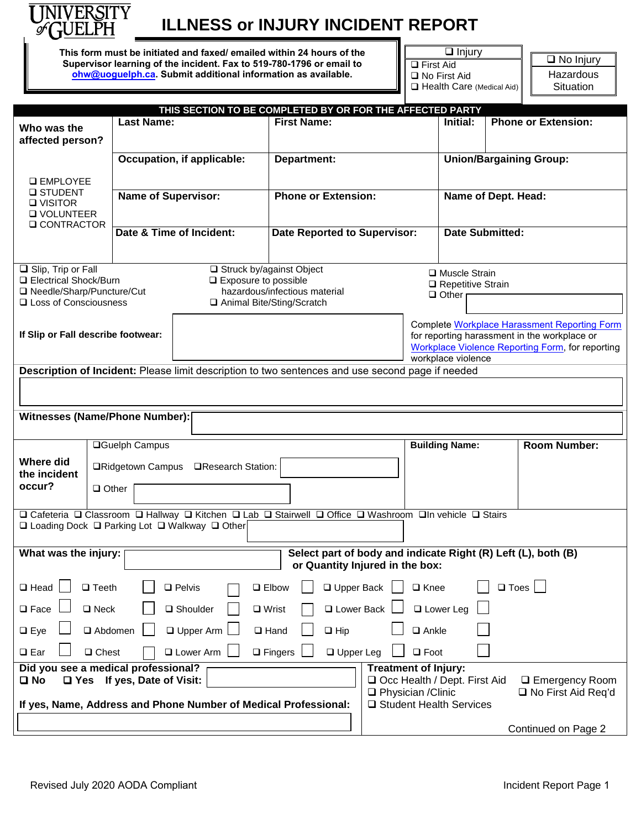

# **ILLNESS or INJURY INCIDENT REPORT**

**This form must be initiated and faxed/ emailed within 24 hours of the Supervisor learning of the incident. Fax to 519-780-1796 or email to [ohw@uoguelph.ca.](mailto:ohw@uoguelph.ca) Submit additional information as available.**

□ Injury □ First Aid ■ No First Aid Health Care (Medical Aid)

□ No Injury Hazardous **Situation** 

|                                                                                                                                                             |                 |                            | THIS SECTION TO BE COMPLETED BY OR FOR THE AFFECTED PARTY                                              |                                      |                                                     |                                                                                                                        |                       |                |                            |
|-------------------------------------------------------------------------------------------------------------------------------------------------------------|-----------------|----------------------------|--------------------------------------------------------------------------------------------------------|--------------------------------------|-----------------------------------------------------|------------------------------------------------------------------------------------------------------------------------|-----------------------|----------------|----------------------------|
| Who was the<br>affected person?                                                                                                                             |                 | <b>Last Name:</b>          |                                                                                                        | <b>First Name:</b>                   |                                                     |                                                                                                                        | Initial:              |                | <b>Phone or Extension:</b> |
| <b>Q EMPLOYEE</b><br><b>□ STUDENT</b><br><b>O VISITOR</b><br><b>Q VOLUNTEER</b><br><b>Q CONTRACTOR</b>                                                      |                 | Occupation, if applicable: |                                                                                                        | Department:                          |                                                     | <b>Union/Bargaining Group:</b>                                                                                         |                       |                |                            |
|                                                                                                                                                             |                 |                            |                                                                                                        |                                      |                                                     |                                                                                                                        |                       |                |                            |
|                                                                                                                                                             |                 | <b>Name of Supervisor:</b> |                                                                                                        | <b>Phone or Extension:</b>           |                                                     | Name of Dept. Head:                                                                                                    |                       |                |                            |
|                                                                                                                                                             |                 |                            |                                                                                                        |                                      |                                                     |                                                                                                                        |                       |                |                            |
|                                                                                                                                                             |                 | Date & Time of Incident:   |                                                                                                        | <b>Date Reported to Supervisor:</b>  |                                                     | <b>Date Submitted:</b>                                                                                                 |                       |                |                            |
|                                                                                                                                                             |                 |                            |                                                                                                        |                                      |                                                     |                                                                                                                        |                       |                |                            |
|                                                                                                                                                             |                 |                            |                                                                                                        |                                      |                                                     |                                                                                                                        |                       |                |                            |
| $\Box$ Slip, Trip or Fall<br>□ Electrical Shock/Burn                                                                                                        |                 |                            | Struck by/against Object<br>□ Exposure to possible                                                     |                                      |                                                     | □ Muscle Strain<br>Repetitive Strain                                                                                   |                       |                |                            |
| □ Needle/Sharp/Puncture/Cut                                                                                                                                 |                 |                            |                                                                                                        | hazardous/infectious material        |                                                     |                                                                                                                        | $\Box$ Other          |                |                            |
| □ Loss of Consciousness                                                                                                                                     |                 |                            |                                                                                                        | Animal Bite/Sting/Scratch            |                                                     |                                                                                                                        |                       |                |                            |
|                                                                                                                                                             |                 |                            |                                                                                                        |                                      | <b>Complete Workplace Harassment Reporting Form</b> |                                                                                                                        |                       |                |                            |
| If Slip or Fall describe footwear:                                                                                                                          |                 |                            |                                                                                                        |                                      |                                                     | for reporting harassment in the workplace or<br>Workplace Violence Reporting Form, for reporting<br>workplace violence |                       |                |                            |
|                                                                                                                                                             |                 |                            |                                                                                                        |                                      |                                                     |                                                                                                                        |                       |                |                            |
|                                                                                                                                                             |                 |                            | Description of Incident: Please limit description to two sentences and use second page if needed       |                                      |                                                     |                                                                                                                        |                       |                |                            |
|                                                                                                                                                             |                 |                            |                                                                                                        |                                      |                                                     |                                                                                                                        |                       |                |                            |
| <b>Witnesses (Name/Phone Number):</b>                                                                                                                       |                 |                            |                                                                                                        |                                      |                                                     |                                                                                                                        |                       |                |                            |
|                                                                                                                                                             |                 |                            |                                                                                                        |                                      |                                                     |                                                                                                                        |                       |                |                            |
| <b>QGuelph Campus</b>                                                                                                                                       |                 |                            |                                                                                                        |                                      |                                                     |                                                                                                                        | <b>Building Name:</b> |                | <b>Room Number:</b>        |
| Where did                                                                                                                                                   |                 | <b>□Ridgetown Campus</b>   | <b>□Research Station:</b>                                                                              |                                      |                                                     |                                                                                                                        |                       |                |                            |
| the incident                                                                                                                                                |                 | $\Box$ Other               |                                                                                                        |                                      |                                                     |                                                                                                                        |                       |                |                            |
| occur?                                                                                                                                                      |                 |                            |                                                                                                        |                                      |                                                     |                                                                                                                        |                       |                |                            |
|                                                                                                                                                             |                 |                            | □ Cafeteria □ Classroom □ Hallway □ Kitchen □ Lab □ Stairwell □ Office □ Washroom □In vehicle □ Stairs |                                      |                                                     |                                                                                                                        |                       |                |                            |
|                                                                                                                                                             |                 |                            | □ Loading Dock □ Parking Lot □ Walkway □ Other                                                         |                                      |                                                     |                                                                                                                        |                       |                |                            |
| Select part of body and indicate Right (R) Left (L), both (B)                                                                                               |                 |                            |                                                                                                        |                                      |                                                     |                                                                                                                        |                       |                |                            |
| What was the injury:<br>or Quantity Injured in the box:                                                                                                     |                 |                            |                                                                                                        |                                      |                                                     |                                                                                                                        |                       |                |                            |
| $\square$ Head                                                                                                                                              | $\square$ Teeth |                            | $\Box$ Pelvis                                                                                          | Upper Back<br>$\Box$ Elbow           |                                                     | $\Box$ Knee                                                                                                            |                       | $\square$ Toes |                            |
| $\square$ Face<br><b>Q</b> Lower Back<br>$\Box$ Lower Leg<br>$\square$ Neck<br>$\square$ Shoulder<br>$\square$ Wrist                                        |                 |                            |                                                                                                        |                                      |                                                     |                                                                                                                        |                       |                |                            |
| □ Upper Arm<br>□ Abdomen<br>$\Box$ Ankle<br>$\square$ Hand<br>$\Box$ Hip<br>$\square$ Eye                                                                   |                 |                            |                                                                                                        |                                      |                                                     |                                                                                                                        |                       |                |                            |
| $\square$ Ear                                                                                                                                               | $\Box$ Chest    |                            | <b>Lower Arm</b>                                                                                       | <b>Q</b> Upper Leg<br>$\Box$ Fingers |                                                     | $\Box$ Foot                                                                                                            |                       |                |                            |
| Did you see a medical professional?<br><b>Treatment of Injury:</b>                                                                                          |                 |                            |                                                                                                        |                                      |                                                     |                                                                                                                        |                       |                |                            |
| $\Box$ Yes If yes, Date of Visit:<br>□ Occ Health / Dept. First Aid<br><b>□</b> No<br>□ Emergency Room<br>$\Box$ Physician / Clinic<br>□ No First Aid Req'd |                 |                            |                                                                                                        |                                      |                                                     |                                                                                                                        |                       |                |                            |
| If yes, Name, Address and Phone Number of Medical Professional:<br>□ Student Health Services                                                                |                 |                            |                                                                                                        |                                      |                                                     |                                                                                                                        |                       |                |                            |
| Continued on Page 2                                                                                                                                         |                 |                            |                                                                                                        |                                      |                                                     |                                                                                                                        |                       |                |                            |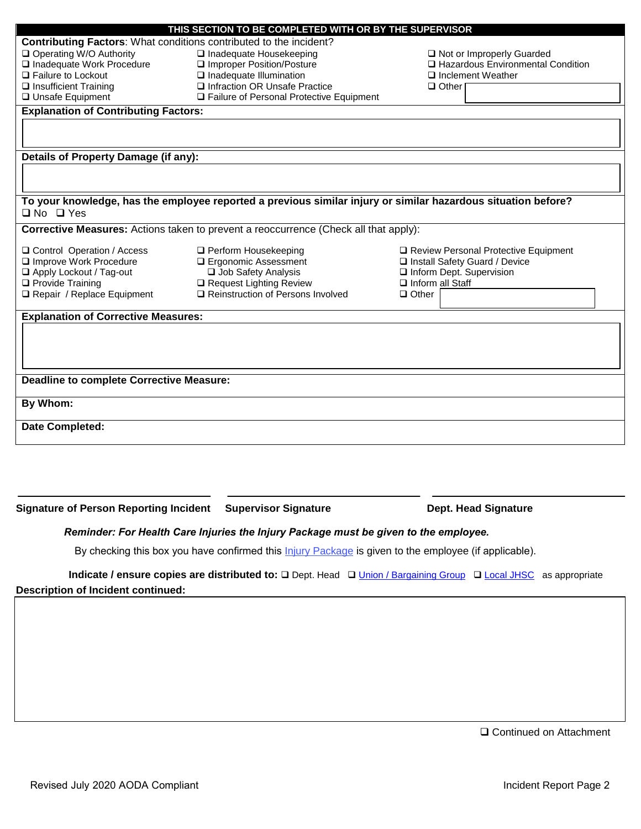| THIS SECTION TO BE COMPLETED WITH OR BY THE SUPERVISOR                                                        |                                            |                                      |  |  |  |  |  |  |  |
|---------------------------------------------------------------------------------------------------------------|--------------------------------------------|--------------------------------------|--|--|--|--|--|--|--|
| Contributing Factors: What conditions contributed to the incident?                                            |                                            |                                      |  |  |  |  |  |  |  |
| Operating W/O Authority                                                                                       | $\Box$ Inadequate Housekeeping             | Not or Improperly Guarded            |  |  |  |  |  |  |  |
| Inadequate Work Procedure                                                                                     | Improper Position/Posture                  | □ Hazardous Environmental Condition  |  |  |  |  |  |  |  |
| □ Failure to Lockout                                                                                          | $\Box$ Inadequate Illumination             | $\Box$ Inclement Weather             |  |  |  |  |  |  |  |
| $\Box$ Insufficient Training                                                                                  | Infraction OR Unsafe Practice              | $\Box$ Other                         |  |  |  |  |  |  |  |
| □ Unsafe Equipment                                                                                            | □ Failure of Personal Protective Equipment |                                      |  |  |  |  |  |  |  |
| <b>Explanation of Contributing Factors:</b>                                                                   |                                            |                                      |  |  |  |  |  |  |  |
|                                                                                                               |                                            |                                      |  |  |  |  |  |  |  |
|                                                                                                               |                                            |                                      |  |  |  |  |  |  |  |
|                                                                                                               |                                            |                                      |  |  |  |  |  |  |  |
| Details of Property Damage (if any):                                                                          |                                            |                                      |  |  |  |  |  |  |  |
|                                                                                                               |                                            |                                      |  |  |  |  |  |  |  |
|                                                                                                               |                                            |                                      |  |  |  |  |  |  |  |
|                                                                                                               |                                            |                                      |  |  |  |  |  |  |  |
| To your knowledge, has the employee reported a previous similar injury or similar hazardous situation before? |                                            |                                      |  |  |  |  |  |  |  |
| $\Box$ No $\Box$ Yes                                                                                          |                                            |                                      |  |  |  |  |  |  |  |
| Corrective Measures: Actions taken to prevent a reoccurrence (Check all that apply):                          |                                            |                                      |  |  |  |  |  |  |  |
|                                                                                                               |                                            |                                      |  |  |  |  |  |  |  |
| □ Control Operation / Access                                                                                  | □ Perform Housekeeping                     | Review Personal Protective Equipment |  |  |  |  |  |  |  |
| Improve Work Procedure                                                                                        | □ Ergonomic Assessment                     | □ Install Safety Guard / Device      |  |  |  |  |  |  |  |
| Apply Lockout / Tag-out                                                                                       | Job Safety Analysis                        | Inform Dept. Supervision             |  |  |  |  |  |  |  |
| □ Provide Training                                                                                            | Request Lighting Review                    | $\Box$ Inform all Staff              |  |  |  |  |  |  |  |
| Repair / Replace Equipment                                                                                    | Reinstruction of Persons Involved          | $\Box$ Other                         |  |  |  |  |  |  |  |
|                                                                                                               |                                            |                                      |  |  |  |  |  |  |  |
| <b>Explanation of Corrective Measures:</b>                                                                    |                                            |                                      |  |  |  |  |  |  |  |
|                                                                                                               |                                            |                                      |  |  |  |  |  |  |  |
|                                                                                                               |                                            |                                      |  |  |  |  |  |  |  |
|                                                                                                               |                                            |                                      |  |  |  |  |  |  |  |
|                                                                                                               |                                            |                                      |  |  |  |  |  |  |  |
| <b>Deadline to complete Corrective Measure:</b>                                                               |                                            |                                      |  |  |  |  |  |  |  |
|                                                                                                               |                                            |                                      |  |  |  |  |  |  |  |
| By Whom:                                                                                                      |                                            |                                      |  |  |  |  |  |  |  |
|                                                                                                               |                                            |                                      |  |  |  |  |  |  |  |
| Date Completed:                                                                                               |                                            |                                      |  |  |  |  |  |  |  |
|                                                                                                               |                                            |                                      |  |  |  |  |  |  |  |
|                                                                                                               |                                            |                                      |  |  |  |  |  |  |  |

Signature of Person Reporting Incident Supervisor Signature **Dept. Head Signature** 

## *Reminder: For Health Care Injuries the Injury Package must be given to the employee.*

By checking this box you have confirmed this *Injury [Package](https://www.uoguelph.ca/hr/about-hr/occupational-health-and-wellness-ohw/injury-package-workplace-injury-or-illness-wsib)* is given to the employee (if applicable).

# **Indicate / ensure copies are distributed to:** □ Dept. Head □ [Union / Bargaining](https://www.uoguelph.ca/hr/hr-services-staff-relations/employee-group-contact-information) Group □ [Local JHSC](https://www.uoguelph.ca/hr/hr-services-staff-relations/employee-group-contact-information) as appropriate **Description of Incident continued:**

□ Continued on Attachment